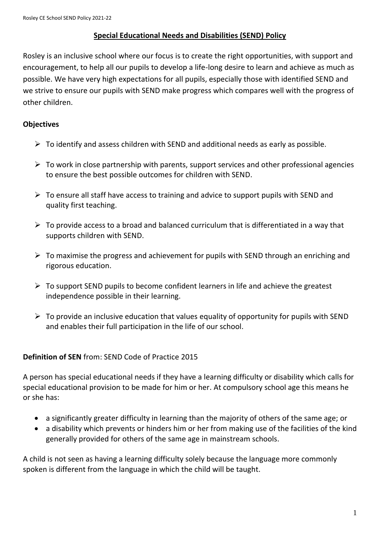## **Special Educational Needs and Disabilities (SEND) Policy**

Rosley is an inclusive school where our focus is to create the right opportunities, with support and encouragement, to help all our pupils to develop a life-long desire to learn and achieve as much as possible. We have very high expectations for all pupils, especially those with identified SEND and we strive to ensure our pupils with SEND make progress which compares well with the progress of other children.

### **Objectives**

- $\triangleright$  To identify and assess children with SEND and additional needs as early as possible.
- $\triangleright$  To work in close partnership with parents, support services and other professional agencies to ensure the best possible outcomes for children with SEND.
- $\triangleright$  To ensure all staff have access to training and advice to support pupils with SEND and quality first teaching.
- $\triangleright$  To provide access to a broad and balanced curriculum that is differentiated in a way that supports children with SEND.
- $\triangleright$  To maximise the progress and achievement for pupils with SEND through an enriching and rigorous education.
- $\triangleright$  To support SEND pupils to become confident learners in life and achieve the greatest independence possible in their learning.
- $\triangleright$  To provide an inclusive education that values equality of opportunity for pupils with SEND and enables their full participation in the life of our school.

## **Definition of SEN** from: SEND Code of Practice 2015

A person has special educational needs if they have a learning difficulty or disability which calls for special educational provision to be made for him or her. At compulsory school age this means he or she has:

- a significantly greater difficulty in learning than the majority of others of the same age; or
- a disability which prevents or hinders him or her from making use of the facilities of the kind generally provided for others of the same age in mainstream schools.

A child is not seen as having a learning difficulty solely because the language more commonly spoken is different from the language in which the child will be taught.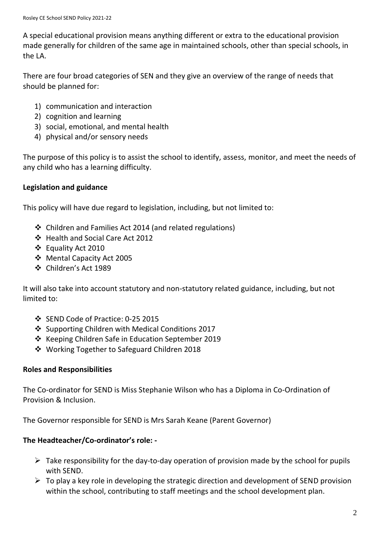A special educational provision means anything different or extra to the educational provision made generally for children of the same age in maintained schools, other than special schools, in the LA.

There are four broad categories of SEN and they give an overview of the range of needs that should be planned for:

- 1) communication and interaction
- 2) cognition and learning
- 3) social, emotional, and mental health
- 4) physical and/or sensory needs

The purpose of this policy is to assist the school to identify, assess, monitor, and meet the needs of any child who has a learning difficulty.

# **Legislation and guidance**

This policy will have due regard to legislation, including, but not limited to:

- Children and Families Act 2014 (and related regulations)
- Health and Social Care Act 2012
- Equality Act 2010
- Mental Capacity Act 2005
- Children's Act 1989

It will also take into account statutory and non-statutory related guidance, including, but not limited to:

- SEND Code of Practice: 0-25 2015
- ❖ Supporting Children with Medical Conditions 2017
- ❖ Keeping Children Safe in Education September 2019
- Working Together to Safeguard Children 2018

## **Roles and Responsibilities**

The Co-ordinator for SEND is Miss Stephanie Wilson who has a Diploma in Co-Ordination of Provision & Inclusion.

The Governor responsible for SEND is Mrs Sarah Keane (Parent Governor)

# **The Headteacher/Co-ordinator's role: -**

- $\triangleright$  Take responsibility for the day-to-day operation of provision made by the school for pupils with SEND.
- $\triangleright$  To play a key role in developing the strategic direction and development of SEND provision within the school, contributing to staff meetings and the school development plan.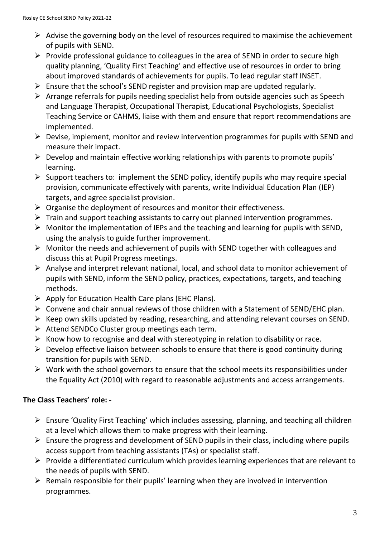- $\triangleright$  Advise the governing body on the level of resources required to maximise the achievement of pupils with SEND.
- $\triangleright$  Provide professional guidance to colleagues in the area of SEND in order to secure high quality planning, 'Quality First Teaching' and effective use of resources in order to bring about improved standards of achievements for pupils. To lead regular staff INSET.
- $\triangleright$  Ensure that the school's SEND register and provision map are updated regularly.
- $\triangleright$  Arrange referrals for pupils needing specialist help from outside agencies such as Speech and Language Therapist, Occupational Therapist, Educational Psychologists, Specialist Teaching Service or CAHMS, liaise with them and ensure that report recommendations are implemented.
- $\triangleright$  Devise, implement, monitor and review intervention programmes for pupils with SEND and measure their impact.
- $\triangleright$  Develop and maintain effective working relationships with parents to promote pupils' learning.
- $\triangleright$  Support teachers to: implement the SEND policy, identify pupils who may require special provision, communicate effectively with parents, write Individual Education Plan (IEP) targets, and agree specialist provision.
- $\triangleright$  Organise the deployment of resources and monitor their effectiveness.
- $\triangleright$  Train and support teaching assistants to carry out planned intervention programmes.
- $\triangleright$  Monitor the implementation of IEPs and the teaching and learning for pupils with SEND, using the analysis to guide further improvement.
- $\triangleright$  Monitor the needs and achievement of pupils with SEND together with colleagues and discuss this at Pupil Progress meetings.
- $\triangleright$  Analyse and interpret relevant national, local, and school data to monitor achievement of pupils with SEND, inform the SEND policy, practices, expectations, targets, and teaching methods.
- $\triangleright$  Apply for Education Health Care plans (EHC Plans).
- $\triangleright$  Convene and chair annual reviews of those children with a Statement of SEND/EHC plan.
- $\triangleright$  Keep own skills updated by reading, researching, and attending relevant courses on SEND.
- $\triangleright$  Attend SENDCo Cluster group meetings each term.
- $\triangleright$  Know how to recognise and deal with stereotyping in relation to disability or race.
- $\triangleright$  Develop effective liaison between schools to ensure that there is good continuity during transition for pupils with SEND.
- $\triangleright$  Work with the school governors to ensure that the school meets its responsibilities under the Equality Act (2010) with regard to reasonable adjustments and access arrangements.

## **The Class Teachers' role: -**

- $\triangleright$  Ensure 'Quality First Teaching' which includes assessing, planning, and teaching all children at a level which allows them to make progress with their learning.
- $\triangleright$  Ensure the progress and development of SEND pupils in their class, including where pupils access support from teaching assistants (TAs) or specialist staff.
- $\triangleright$  Provide a differentiated curriculum which provides learning experiences that are relevant to the needs of pupils with SEND.
- $\triangleright$  Remain responsible for their pupils' learning when they are involved in intervention programmes.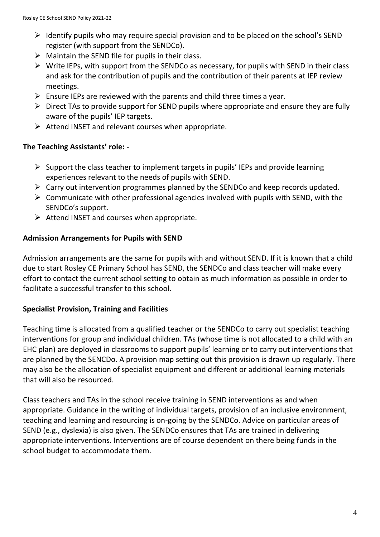- $\triangleright$  Identify pupils who may require special provision and to be placed on the school's SEND register (with support from the SENDCo).
- $\triangleright$  Maintain the SEND file for pupils in their class.
- $\triangleright$  Write IEPs, with support from the SENDCo as necessary, for pupils with SEND in their class and ask for the contribution of pupils and the contribution of their parents at IEP review meetings.
- $\triangleright$  Ensure IEPs are reviewed with the parents and child three times a year.
- $\triangleright$  Direct TAs to provide support for SEND pupils where appropriate and ensure they are fully aware of the pupils' IEP targets.
- $\triangleright$  Attend INSET and relevant courses when appropriate.

## **The Teaching Assistants' role: -**

- $\triangleright$  Support the class teacher to implement targets in pupils' IEPs and provide learning experiences relevant to the needs of pupils with SEND.
- $\triangleright$  Carry out intervention programmes planned by the SENDCo and keep records updated.
- $\triangleright$  Communicate with other professional agencies involved with pupils with SEND, with the SENDCo's support.
- $\triangleright$  Attend INSET and courses when appropriate.

### **Admission Arrangements for Pupils with SEND**

Admission arrangements are the same for pupils with and without SEND. If it is known that a child due to start Rosley CE Primary School has SEND, the SENDCo and class teacher will make every effort to contact the current school setting to obtain as much information as possible in order to facilitate a successful transfer to this school.

### **Specialist Provision, Training and Facilities**

Teaching time is allocated from a qualified teacher or the SENDCo to carry out specialist teaching interventions for group and individual children. TAs (whose time is not allocated to a child with an EHC plan) are deployed in classrooms to support pupils' learning or to carry out interventions that are planned by the SENCDo. A provision map setting out this provision is drawn up regularly. There may also be the allocation of specialist equipment and different or additional learning materials that will also be resourced.

Class teachers and TAs in the school receive training in SEND interventions as and when appropriate. Guidance in the writing of individual targets, provision of an inclusive environment, teaching and learning and resourcing is on-going by the SENDCo. Advice on particular areas of SEND (e.g., dyslexia) is also given. The SENDCo ensures that TAs are trained in delivering appropriate interventions. Interventions are of course dependent on there being funds in the school budget to accommodate them.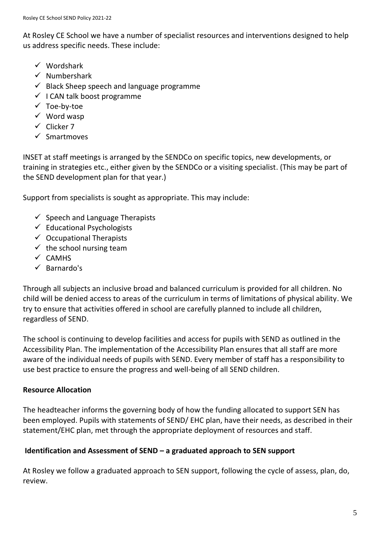At Rosley CE School we have a number of specialist resources and interventions designed to help us address specific needs. These include:

- $\checkmark$  Wordshark
- $\checkmark$  Numbershark
- $\checkmark$  Black Sheep speech and language programme
- $\checkmark$  I CAN talk boost programme
- $\checkmark$  Toe-by-toe
- $\checkmark$  Word wasp
- $\checkmark$  Clicker 7
- $\checkmark$  Smartmoves

INSET at staff meetings is arranged by the SENDCo on specific topics, new developments, or training in strategies etc., either given by the SENDCo or a visiting specialist. (This may be part of the SEND development plan for that year.)

Support from specialists is sought as appropriate. This may include:

- $\checkmark$  Speech and Language Therapists
- $\checkmark$  Educational Psychologists
- $\checkmark$  Occupational Therapists
- $\checkmark$  the school nursing team
- $\times$  CAMHS
- $\checkmark$  Barnardo's

Through all subjects an inclusive broad and balanced curriculum is provided for all children. No child will be denied access to areas of the curriculum in terms of limitations of physical ability. We try to ensure that activities offered in school are carefully planned to include all children, regardless of SEND.

The school is continuing to develop facilities and access for pupils with SEND as outlined in the Accessibility Plan. The implementation of the Accessibility Plan ensures that all staff are more aware of the individual needs of pupils with SEND. Every member of staff has a responsibility to use best practice to ensure the progress and well-being of all SEND children.

## **Resource Allocation**

The headteacher informs the governing body of how the funding allocated to support SEN has been employed. Pupils with statements of SEND/ EHC plan, have their needs, as described in their statement/EHC plan, met through the appropriate deployment of resources and staff.

## **Identification and Assessment of SEND – a graduated approach to SEN support**

At Rosley we follow a graduated approach to SEN support, following the cycle of assess, plan, do, review.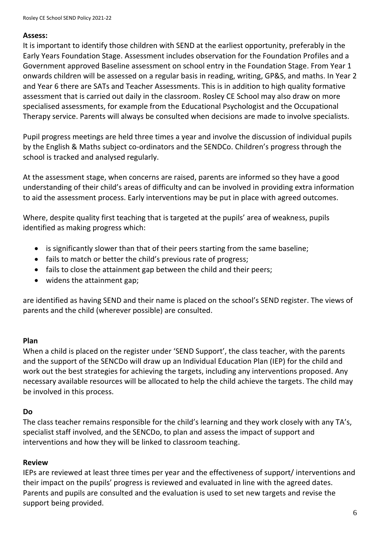#### **Assess:**

It is important to identify those children with SEND at the earliest opportunity, preferably in the Early Years Foundation Stage. Assessment includes observation for the Foundation Profiles and a Government approved Baseline assessment on school entry in the Foundation Stage. From Year 1 onwards children will be assessed on a regular basis in reading, writing, GP&S, and maths. In Year 2 and Year 6 there are SATs and Teacher Assessments. This is in addition to high quality formative assessment that is carried out daily in the classroom. Rosley CE School may also draw on more specialised assessments, for example from the Educational Psychologist and the Occupational Therapy service. Parents will always be consulted when decisions are made to involve specialists.

Pupil progress meetings are held three times a year and involve the discussion of individual pupils by the English & Maths subject co-ordinators and the SENDCo. Children's progress through the school is tracked and analysed regularly.

At the assessment stage, when concerns are raised, parents are informed so they have a good understanding of their child's areas of difficulty and can be involved in providing extra information to aid the assessment process. Early interventions may be put in place with agreed outcomes.

Where, despite quality first teaching that is targeted at the pupils' area of weakness, pupils identified as making progress which:

- is significantly slower than that of their peers starting from the same baseline;
- fails to match or better the child's previous rate of progress;
- fails to close the attainment gap between the child and their peers;
- widens the attainment gap;

are identified as having SEND and their name is placed on the school's SEND register. The views of parents and the child (wherever possible) are consulted.

## **Plan**

When a child is placed on the register under 'SEND Support', the class teacher, with the parents and the support of the SENCDo will draw up an Individual Education Plan (IEP) for the child and work out the best strategies for achieving the targets, including any interventions proposed. Any necessary available resources will be allocated to help the child achieve the targets. The child may be involved in this process.

## **Do**

The class teacher remains responsible for the child's learning and they work closely with any TA's, specialist staff involved, and the SENCDo, to plan and assess the impact of support and interventions and how they will be linked to classroom teaching.

## **Review**

IEPs are reviewed at least three times per year and the effectiveness of support/ interventions and their impact on the pupils' progress is reviewed and evaluated in line with the agreed dates. Parents and pupils are consulted and the evaluation is used to set new targets and revise the support being provided.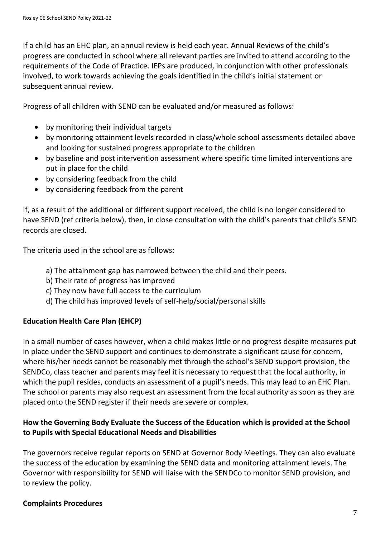If a child has an EHC plan, an annual review is held each year. Annual Reviews of the child's progress are conducted in school where all relevant parties are invited to attend according to the requirements of the Code of Practice. IEPs are produced, in conjunction with other professionals involved, to work towards achieving the goals identified in the child's initial statement or subsequent annual review.

Progress of all children with SEND can be evaluated and/or measured as follows:

- by monitoring their individual targets
- by monitoring attainment levels recorded in class/whole school assessments detailed above and looking for sustained progress appropriate to the children
- by baseline and post intervention assessment where specific time limited interventions are put in place for the child
- by considering feedback from the child
- by considering feedback from the parent

If, as a result of the additional or different support received, the child is no longer considered to have SEND (ref criteria below), then, in close consultation with the child's parents that child's SEND records are closed.

The criteria used in the school are as follows:

- a) The attainment gap has narrowed between the child and their peers.
- b) Their rate of progress has improved
- c) They now have full access to the curriculum
- d) The child has improved levels of self-help/social/personal skills

# **Education Health Care Plan (EHCP)**

In a small number of cases however, when a child makes little or no progress despite measures put in place under the SEND support and continues to demonstrate a significant cause for concern, where his/her needs cannot be reasonably met through the school's SEND support provision, the SENDCo, class teacher and parents may feel it is necessary to request that the local authority, in which the pupil resides, conducts an assessment of a pupil's needs. This may lead to an EHC Plan. The school or parents may also request an assessment from the local authority as soon as they are placed onto the SEND register if their needs are severe or complex.

# **How the Governing Body Evaluate the Success of the Education which is provided at the School to Pupils with Special Educational Needs and Disabilities**

The governors receive regular reports on SEND at Governor Body Meetings. They can also evaluate the success of the education by examining the SEND data and monitoring attainment levels. The Governor with responsibility for SEND will liaise with the SENDCo to monitor SEND provision, and to review the policy.

## **Complaints Procedures**